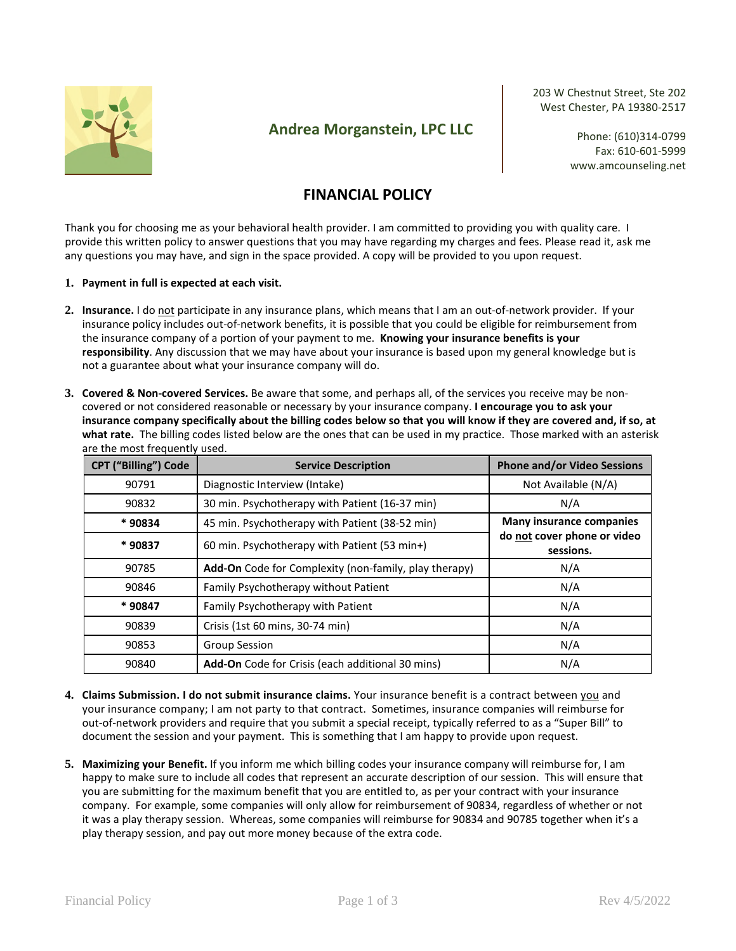

## **Andrea Morganstein, LPC LLC**

203 W Chestnut Street, Ste 202 West Chester, PA 19380-2517

> Phone: (610)314-0799 Fax: 610-601-5999 www.amcounseling.net

## **FINANCIAL POLICY**

Thank you for choosing me as your behavioral health provider. I am committed to providing you with quality care. I provide this written policy to answer questions that you may have regarding my charges and fees. Please read it, ask me any questions you may have, and sign in the space provided. A copy will be provided to you upon request.

## **1. Payment in full is expected at each visit.**

- **2. Insurance.** I do not participate in any insurance plans, which means that I am an out-of-network provider. If your insurance policy includes out-of-network benefits, it is possible that you could be eligible for reimbursement from the insurance company of a portion of your payment to me. **Knowing your insurance benefits is your responsibility**. Any discussion that we may have about your insurance is based upon my general knowledge but is not a guarantee about what your insurance company will do.
- **3. Covered & Non-covered Services.** Be aware that some, and perhaps all, of the services you receive may be noncovered or not considered reasonable or necessary by your insurance company. **I encourage you to ask your insurance company specifically about the billing codes below so that you will know if they are covered and, if so, at what rate.** The billing codes listed below are the ones that can be used in my practice. Those marked with an asterisk are the most frequently used.

| <b>CPT ("Billing") Code</b> | <b>Service Description</b>                            | <b>Phone and/or Video Sessions</b>       |  |
|-----------------------------|-------------------------------------------------------|------------------------------------------|--|
| 90791                       | Diagnostic Interview (Intake)                         | Not Available (N/A)                      |  |
| 90832                       | 30 min. Psychotherapy with Patient (16-37 min)        | N/A                                      |  |
| * 90834                     | 45 min. Psychotherapy with Patient (38-52 min)        | <b>Many insurance companies</b>          |  |
| * 90837                     | 60 min. Psychotherapy with Patient (53 min+)          | do not cover phone or video<br>sessions. |  |
| 90785                       | Add-On Code for Complexity (non-family, play therapy) | N/A                                      |  |
| 90846                       | Family Psychotherapy without Patient                  | N/A                                      |  |
| * 90847                     | Family Psychotherapy with Patient                     | N/A                                      |  |
| 90839                       | Crisis (1st 60 mins, 30-74 min)                       | N/A                                      |  |
| 90853                       | <b>Group Session</b>                                  | N/A                                      |  |
| 90840                       | Add-On Code for Crisis (each additional 30 mins)      | N/A                                      |  |

- **4. Claims Submission. I do not submit insurance claims.** Your insurance benefit is a contract between you and your insurance company; I am not party to that contract. Sometimes, insurance companies will reimburse for out-of-network providers and require that you submit a special receipt, typically referred to as a "Super Bill" to document the session and your payment. This is something that I am happy to provide upon request.
- **5. Maximizing your Benefit.** If you inform me which billing codes your insurance company will reimburse for, I am happy to make sure to include all codes that represent an accurate description of our session. This will ensure that you are submitting for the maximum benefit that you are entitled to, as per your contract with your insurance company. For example, some companies will only allow for reimbursement of 90834, regardless of whether or not it was a play therapy session. Whereas, some companies will reimburse for 90834 and 90785 together when it's a play therapy session, and pay out more money because of the extra code.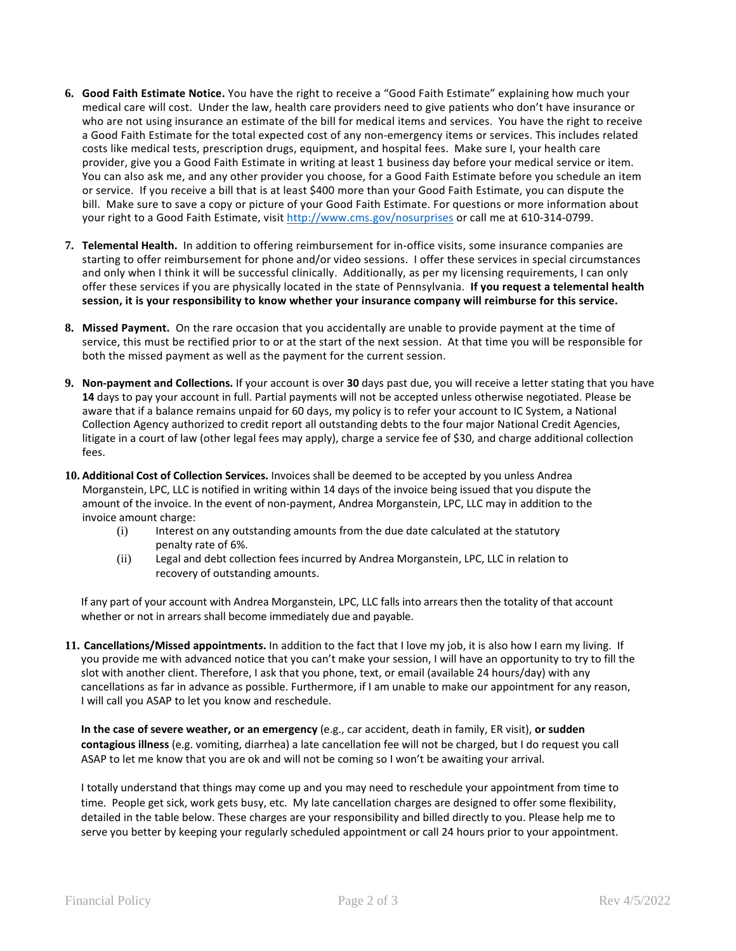- **6. Good Faith Estimate Notice.** You have the right to receive a "Good Faith Estimate" explaining how much your medical care will cost. Under the law, health care providers need to give patients who don't have insurance or who are not using insurance an estimate of the bill for medical items and services. You have the right to receive a Good Faith Estimate for the total expected cost of any non-emergency items or services. This includes related costs like medical tests, prescription drugs, equipment, and hospital fees. Make sure I, your health care provider, give you a Good Faith Estimate in writing at least 1 business day before your medical service or item. You can also ask me, and any other provider you choose, for a Good Faith Estimate before you schedule an item or service. If you receive a bill that is at least \$400 more than your Good Faith Estimate, you can dispute the bill. Make sure to save a copy or picture of your Good Faith Estimate. For questions or more information about your right to a Good Faith Estimate, visit http://www.cms.gov/nosurprises or call me at 610-314-0799.
- **7. Telemental Health.** In addition to offering reimbursement for in-office visits, some insurance companies are starting to offer reimbursement for phone and/or video sessions. I offer these services in special circumstances and only when I think it will be successful clinically. Additionally, as per my licensing requirements, I can only offer these services if you are physically located in the state of Pennsylvania. **If you request a telemental health session, it is your responsibility to know whether your insurance company will reimburse for this service.**
- **8. Missed Payment.** On the rare occasion that you accidentally are unable to provide payment at the time of service, this must be rectified prior to or at the start of the next session. At that time you will be responsible for both the missed payment as well as the payment for the current session.
- **9. Non-payment and Collections.** If your account is over **30** days past due, you will receive a letter stating that you have **14** days to pay your account in full. Partial payments will not be accepted unless otherwise negotiated. Please be aware that if a balance remains unpaid for 60 days, my policy is to refer your account to IC System, a National Collection Agency authorized to credit report all outstanding debts to the four major National Credit Agencies, litigate in a court of law (other legal fees may apply), charge a service fee of \$30, and charge additional collection fees.
- **10. Additional Cost of Collection Services.** Invoices shall be deemed to be accepted by you unless Andrea Morganstein, LPC, LLC is notified in writing within 14 days of the invoice being issued that you dispute the amount of the invoice. In the event of non-payment, Andrea Morganstein, LPC, LLC may in addition to the invoice amount charge:
	- (i) Interest on any outstanding amounts from the due date calculated at the statutory penalty rate of 6%.
	- (ii) Legal and debt collection fees incurred by Andrea Morganstein, LPC, LLC in relation to recovery of outstanding amounts.

If any part of your account with Andrea Morganstein, LPC, LLC falls into arrears then the totality of that account whether or not in arrears shall become immediately due and payable.

**11. Cancellations/Missed appointments.** In addition to the fact that I love my job, it is also how I earn my living. If you provide me with advanced notice that you can't make your session, I will have an opportunity to try to fill the slot with another client. Therefore, I ask that you phone, text, or email (available 24 hours/day) with any cancellations as far in advance as possible. Furthermore, if I am unable to make our appointment for any reason, I will call you ASAP to let you know and reschedule.

**In the case of severe weather, or an emergency** (e.g., car accident, death in family, ER visit), **or sudden contagious illness** (e.g. vomiting, diarrhea) a late cancellation fee will not be charged, but I do request you call ASAP to let me know that you are ok and will not be coming so I won't be awaiting your arrival.

I totally understand that things may come up and you may need to reschedule your appointment from time to time. People get sick, work gets busy, etc. My late cancellation charges are designed to offer some flexibility, detailed in the table below. These charges are your responsibility and billed directly to you. Please help me to serve you better by keeping your regularly scheduled appointment or call 24 hours prior to your appointment.